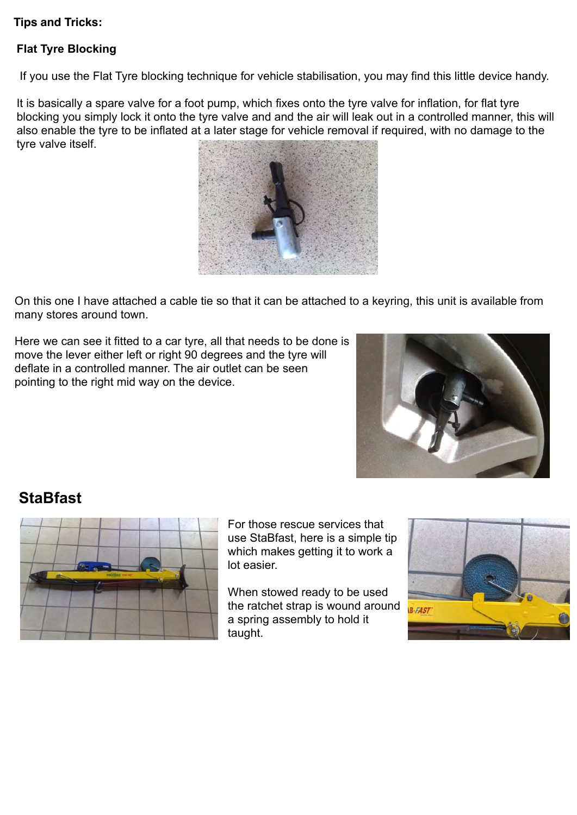## **Tips and Tricks:**

## **Flat Tyre Blocking**

If you use the Flat Tyre blocking technique for vehicle stabilisation, you may find this little device handy.

It is basically a spare valve for a foot pump, which fixes onto the tyre valve for inflation, for flat tyre blocking you simply lock it onto the tyre valve and and the air will leak out in a controlled manner, this will also enable the tyre to be inflated at a later stage for vehicle removal if required, with no damage to the tyre valve itself.



On this one I have attached a cable tie so that it can be attached to a keyring, this unit is available from many stores around town.

Here we can see it fitted to a car tyre, all that needs to be done is move the lever either left or right 90 degrees and the tyre will deflate in a controlled manner. The air outlet can be seen pointing to the right mid way on the device.



## **StaBfast**



For those rescue services that use StaBfast, here is a simple tip which makes getting it to work a lot easier.

When stowed ready to be used the ratchet strap is wound around a spring assembly to hold it taught.

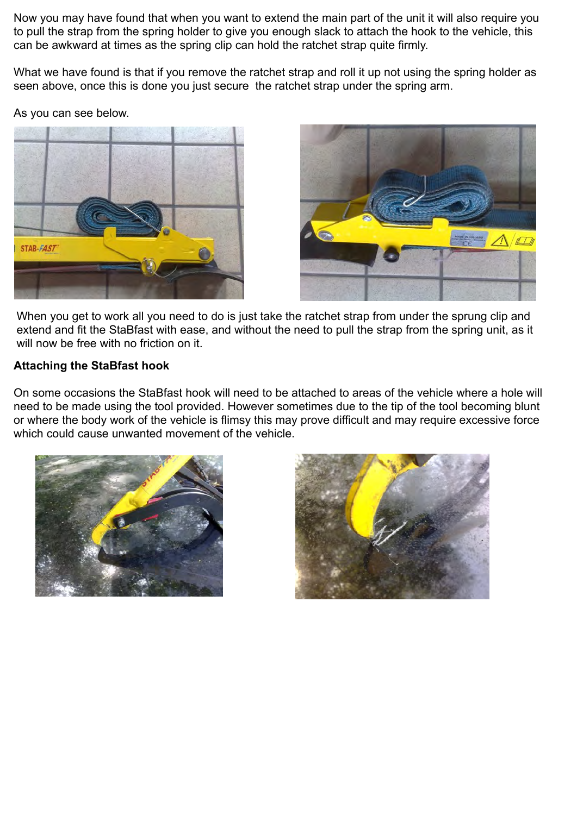Now you may have found that when you want to extend the main part of the unit it will also require you to pull the strap from the spring holder to give you enough slack to attach the hook to the vehicle, this can be awkward at times as the spring clip can hold the ratchet strap quite firmly.

What we have found is that if you remove the ratchet strap and roll it up not using the spring holder as seen above, once this is done you just secure the ratchet strap under the spring arm.

As you can see below.





When you get to work all you need to do is just take the ratchet strap from under the sprung clip and extend and fit the StaBfast with ease, and without the need to pull the strap from the spring unit, as it will now be free with no friction on it.

#### **Attaching the StaBfast hook**

On some occasions the StaBfast hook will need to be attached to areas of the vehicle where a hole will need to be made using the tool provided. However sometimes due to the tip of the tool becoming blunt or where the body work of the vehicle is flimsy this may prove difficult and may require excessive force which could cause unwanted movement of the vehicle.



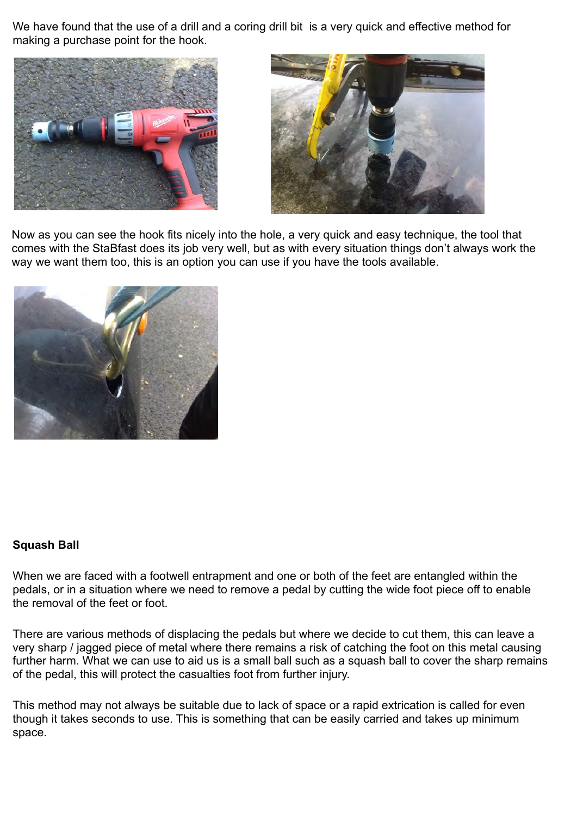We have found that the use of a drill and a coring drill bit is a very quick and effective method for making a purchase point for the hook.





Now as you can see the hook fits nicely into the hole, a very quick and easy technique, the tool that comes with the StaBfast does its job very well, but as with every situation things don't always work the way we want them too, this is an option you can use if you have the tools available.



#### **Squash Ball**

When we are faced with a footwell entrapment and one or both of the feet are entangled within the pedals, or in a situation where we need to remove a pedal by cutting the wide foot piece off to enable the removal of the feet or foot.

There are various methods of displacing the pedals but where we decide to cut them, this can leave a very sharp / jagged piece of metal where there remains a risk of catching the foot on this metal causing further harm. What we can use to aid us is a small ball such as a squash ball to cover the sharp remains of the pedal, this will protect the casualties foot from further injury.

This method may not always be suitable due to lack of space or a rapid extrication is called for even though it takes seconds to use. This is something that can be easily carried and takes up minimum space.